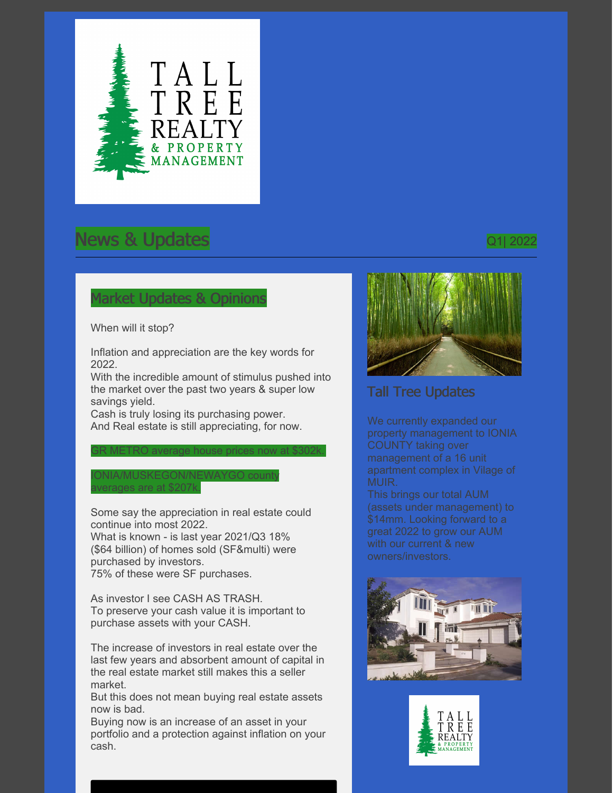

# News & Updates and the contract of the contract of the contract of the contract of the contract of the contract of the contract of the contract of the contract of the contract of the contract of the contract of the contrac

#### Market Updates & Opinions

When will it stop?

Inflation and appreciation are the key words for 2022.

With the incredible amount of stimulus pushed into the market over the past two years & super low savings yield.

GR METRO average house prices now at \$302k.

Cash is truly losing its purchasing power. And Real estate is still appreciating, for now.

#### ONIA/MUSKEGON/NEWAYGO count averages are at \$207k.

Some say the appreciation in real estate could continue into most 2022. What is known - is last year 2021/Q3 18% (\$64 billion) of homes sold (SF&multi) were purchased by investors. 75% of these were SF purchases.

As investor I see CASH AS TRASH. To preserve your cash value it is important to purchase assets with your CASH.

The increase of investors in real estate over the last few years and absorbent amount of capital in the real estate market still makes this a seller market.

But this does not mean buying real estate assets now is bad.

Buying now is an increase of an asset in your portfolio and a protection against inflation on your cash.



## Tall Tree Updates

We currently expanded our property management to IONIA COUNTY taking over management of a 16 unit apartment complex in Vilage of MUIR.

This brings our total AUM (assets under management) to \$14mm. Looking forward to a great 2022 to grow our AUM with our current & new